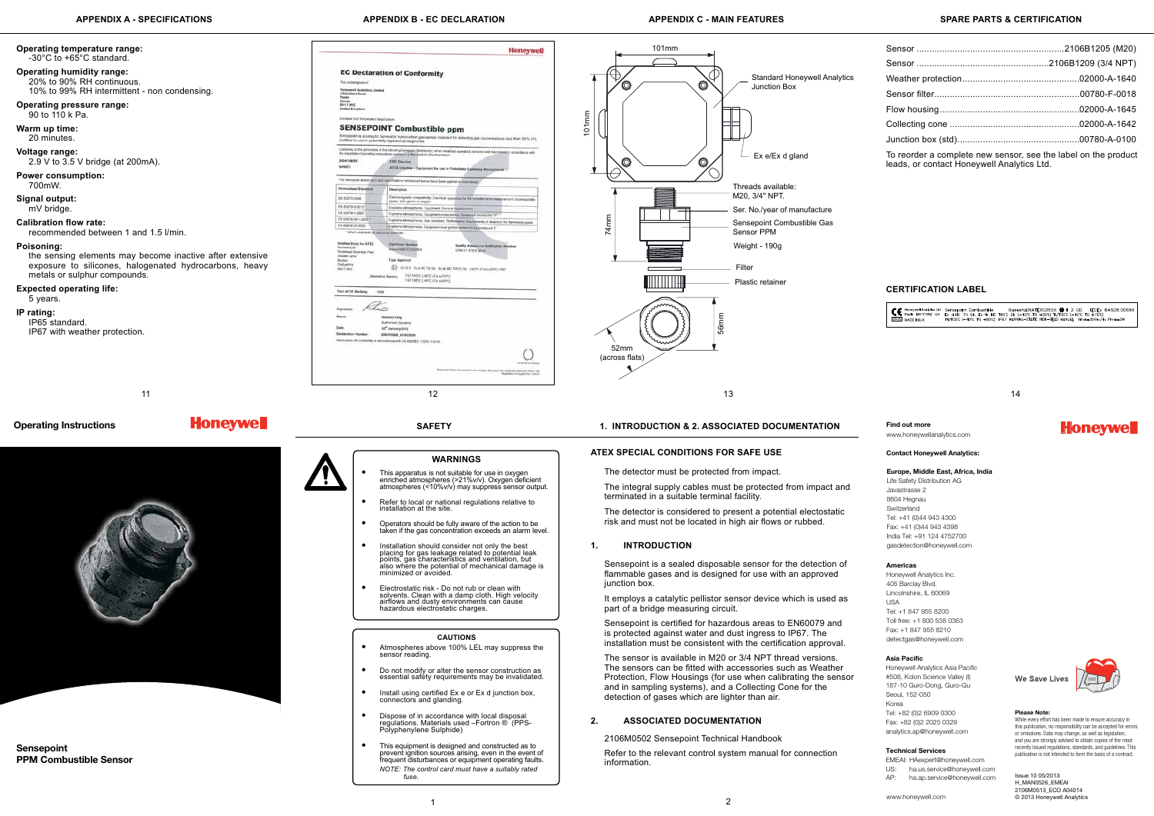**Honeywell** 

## **ATEX Special Conditions for Safe Use**

The detector must be protected from impact.

The integral supply cables must be protected from impact and terminated in a suitable terminal facility.

The detector is considered to present a potential electostatic risk and must not be located in high air flows or rubbed.

## **1. INTRODUCTION**

Sensepoint is a sealed disposable sensor for the detection of flammable gases and is designed for use with an approved junction box.

It employs a catalytic pellistor sensor device which is used as part of a bridge measuring circuit.

Sensepoint is certified for hazardous areas to EN60079 and is protected against water and dust ingress to IP67. The installation must be consistent with the certification approval.

The sensor is available in M20 or 3/4 NPT thread versions. The sensors can be fitted with accessories such as Weather Protection, Flow Housings (for use when calibrating the sensor and in sampling systems), and a Collecting Cone for the detection of gases which are lighter than air.

## **2. Associated documentation**

2106M0502 Sensepoint Technical Handbook

Refer to the relevant control system manual for connection information.

### **SAFETY 1. INTRODUCTION & 2. associated documentation**

# **APPENDIX A - specifications APPENDIX B - EC DECLARATION APPENDIX C - MAIN FEATURES spare parts & CERTIFICATION**

Sensepoint PPM Combustible Sensor

| <b>MAY</b>                                    |                                                                                                                                                                                     |                                                                                                                                                          |  |  |  |
|-----------------------------------------------|-------------------------------------------------------------------------------------------------------------------------------------------------------------------------------------|----------------------------------------------------------------------------------------------------------------------------------------------------------|--|--|--|
|                                               | Explores attractivities. Equipment protection by formation and cools may be                                                                                                         |                                                                                                                                                          |  |  |  |
| 1:20077                                       | Explosive attendations. Gas delectors. Performance regulaements of delectors for flammatics gases                                                                                   |                                                                                                                                                          |  |  |  |
| doos                                          | Explosive seleccomment. Couponers shall system probabilities and must be                                                                                                            |                                                                                                                                                          |  |  |  |
| used with Altag<br>V for ATEX<br>ciriess Park | stategrater<br><b>Darthinery Number</b><br>FreeerinGEATEADONA.c<br><b>Type Approval</b><br>Œδ<br>TS/T100°C 240°C sTa scritts<br>Attenuative Marketer<br>TA/T198YC (-MPC sTa swearc) | Duelty Assurance Nationalist Number<br>SIRA 11 ATEX MILL<br>REGO SVENCTION: Example TRPC DV: 140'O sTark-BVC; IPBT                                       |  |  |  |
| larking<br>7209<br>$\mathcal{I}$              | <b>Richard King</b><br>Authorised Digestory<br>10 <sup>th</sup> January 2013<br>2004/Y0338_DO/AC3636<br>Contemby in accortance with EN ISOREC 17555 1 SEEE                          |                                                                                                                                                          |  |  |  |
|                                               |                                                                                                                                                                                     | retasivist di distense<br>Registered Dillos: Horseand House, Artistics Business Flott, National, Delivate RQ D. 108<br>Pergerman in Inspirances and com- |  |  |  |
|                                               | 12                                                                                                                                                                                  |                                                                                                                                                          |  |  |  |

Issue 10 05/2013 H\_MAN0526\_EMEAI 2106M0513\_ECO A04014 © 2013 Honeywell Analytics

# **WARNINGS**

- This apparatus is not suitable for use in oxygen enriched atmospheres (>21%v/v). Oxygen deficient atmospheres (<10%v/v) may suppress sensor output.
- Refer to local or national regulations relative to installation at the site.
- Operators should be fully aware of the action to be taken if the gas concentration exceeds an alarm level.
- Installation should consider not only the best placing for gas leakage related to potential leak points, gas characteristics and ventilation, but also where the potential of mechanical damage is minimized or avoided.
- Electrostatic risk Do not rub or clean with solvents. Clean with a damp cloth. High velocity airflows and dusty environments can cause hazardous electrostatic charges.



## **CAUTIONS**

- Atmospheres above 100% LEL may suppress the sensor reading.
- Do not modify or alter the sensor construction as essential safety requirements may be invalidated.
- Install using certified Ex e or Ex d junction box, connectors and glanding.
- Dispose of in accordance with local disposal regulations. Materials used –Fortron ® (PPS-Polyphenylene Sulphide)
- This equipment is designed and constructed as to prevent ignition sources arising, even in the event of frequent disturbances or equipment operating faults. *NOTE: The control card must have a suitably rated fuse.*

## **Operating temperature range:** -30°C to +65°C standard. **Operating humidity range: EC Declaration of Conformity** 20% to 90% RH continuous. 10% to 99% RH intermittent - non condensing. Honeywoll Analytic<br>4 Stinators Road Doneet<br>BH17 OFCE **Operating pressure range:** 90 to 110 k Pa. **SENSEPOINT Combustible ppm Warm up time:** 20 minutes. **Outland Voltage range:** 2.9 V to 3.5 V bridge (at 200mA). 2004/1087 sauce **Power consumption:** 700mW. **Signal output:** mV bridge. Thi contra-**Calibration flow rate:** TN 80009-3 recommended between 1 and 1.5 l/min. Number Bo<br>Roosels Ltd<br>Roolewal II<br>Dadan Lan<br>Budan<br>Deltyslyn<br>Skitt ang **Poisoning:** the sensing elements may become inactive after extensive exposure to silicones, halogenated hydrocarbons, heavy metals or sulphur compounds. **Expected operating life:** You of CE H 5 years. Signatur **IP rating: Norte** IP65 standard. base. IP67 with weather protection. **Honeywell** Operating Instructions



| To reorder a complete new sensor, see the label on the product<br>leads, or contact Honeywell Analytics Ltd. |  |  |  |
|--------------------------------------------------------------------------------------------------------------|--|--|--|

# **CERTIFICATION LABEL**

| Baseefa08ATEX0265X @ II 2 GD IECEx BAS08.0068X<br>CC Honeywell Analytics Ltd Sensepoint Combustible Baseefa08ATEX0265X @ II 2 GD IECEx B<br>CC Poole BH170RZ UK Ex d IIC T6 Gb, Ex tb IIIC T85°C Db (-40°C T0 +55°C) T5/T100°C (-40°C T0 +70°C)<br>0518 MADE IN UK<br>T4/T135'C (-40°C TO +80°C) IP67 WARNING-STATIC RISK-READ MANUAL Vmgx=35Vgc/dc Pmgx=2W |
|-------------------------------------------------------------------------------------------------------------------------------------------------------------------------------------------------------------------------------------------------------------------------------------------------------------------------------------------------------------|
|-------------------------------------------------------------------------------------------------------------------------------------------------------------------------------------------------------------------------------------------------------------------------------------------------------------------------------------------------------------|

#### **Please Note:**

While every effort has been made to ensure accuracy in this publication, no responsibility can be accepted for errors or omissions. Data may change, as well as legislation, and you are strongly advised to obtain copies of the most recently issued regulations, standards, and guidelines. This publication is not intended to form the basis of a contract.

## **Contact Honeywell Analytics:**

#### **Find out more**

www.honeywellanalytics.com

### **Europe, Middle East, Africa, India**

Life Safety Distribution AG Javastrasse 2 8604 Hegnau Switzerland Tel: +41 (0)44 943 4300 Fax: +41 (0)44 943 4398 India Tel: +91 124 4752700 gasdetection@honeywell.com

#### **Americas**

Honeywell Analytics Inc. 405 Barclay Blvd. Lincolnshire, IL 60069  $IISA$ Tel: +1 847 955 8200 Toll free: +1 800 538 0363 Fax: +1 847 955 8210 detectgas@honeywell.com

#### **Technical Services**

EMEAI: HAexpert@honeywell.com US: ha.us.service@honeywell.com AP: ha.ap.service@honeywell.com



We Save Lives



#### **Asia Pacific**

Honeywell Analytics Asia Pacific #508, Kolon Science Valley (I) 187-10 Guro-Dong, Guro-Gu Seoul, 152-050 Korea Tel: +82 (0)2 6909 0300 Fax: +82 (0)2 2025 0329 analytics.ap@honeywell.com